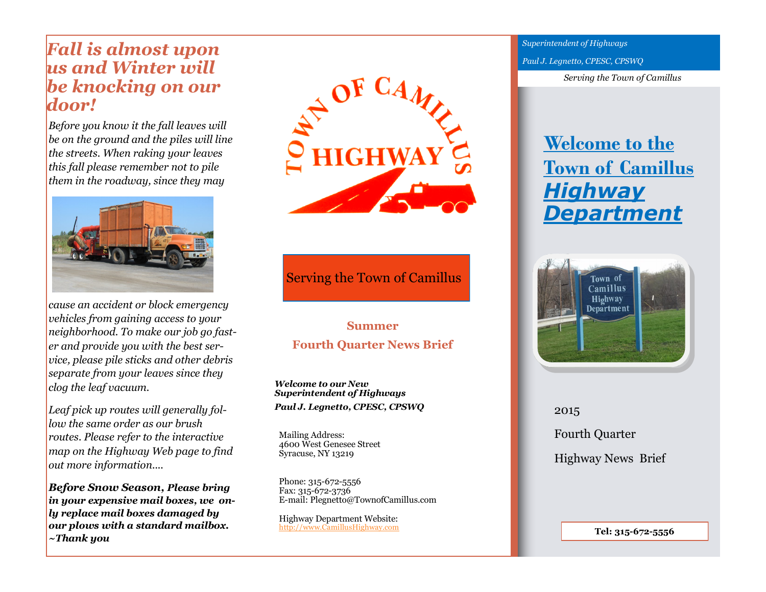## *Fall is almost upon us and Winter will be knocking on our door!*

*Before you know it the fall leaves will be on the ground and the piles will line the streets. When raking your leaves this fall please remember not to pile them in the roadway, since they may* 



*cause an accident or block emergency vehicles from gaining access to your neighborhood. To make our job go faster and provide you with the best service, please pile sticks and other debris separate from your leaves since they clog the leaf vacuum.* 

*Leaf pick up routes will generally follow the same order as our brush routes. Please refer to the interactive map on the Highway Web page to find out more information....*

*Before Snow Season, Please bring in your expensive mail boxes, we only replace mail boxes damaged by our plows with a standard mailbox. ~Thank you* 



### Serving the Town of Camillus

### **Summer Fourth Quarter News Brief**

*Welcome to our New Superintendent of Highways Paul J. Legnetto, CPESC, CPSWQ* 

Mailing Address: 4600 West Genesee Street Syracuse, NY 13219

Phone: 315-672-5556 Fax: 315-672-3736 E-mail: Plegnetto@TownofCamillus.com

Highway Department Website: [http://www.CamillusHighway.com](http://www.townofcamillus.com/default.aspx?PageID=837) *Superintendent of Highways Paul J. Legnetto, CPESC, CPSWQ* 

*Serving the Town of Camillus*

# **[Welcome to the](http://www.townofcamillus.com/default.aspx?PageID=837)  [Town of Camillus](http://www.townofcamillus.com/default.aspx?PageID=837)** *[Highway](http://www.townofcamillus.com/default.aspx?PageID=837)  [Department](http://www.townofcamillus.com/default.aspx?PageID=837)*



2015 Fourth Quarter Highway News Brief

**Tel: 315-672-5556**